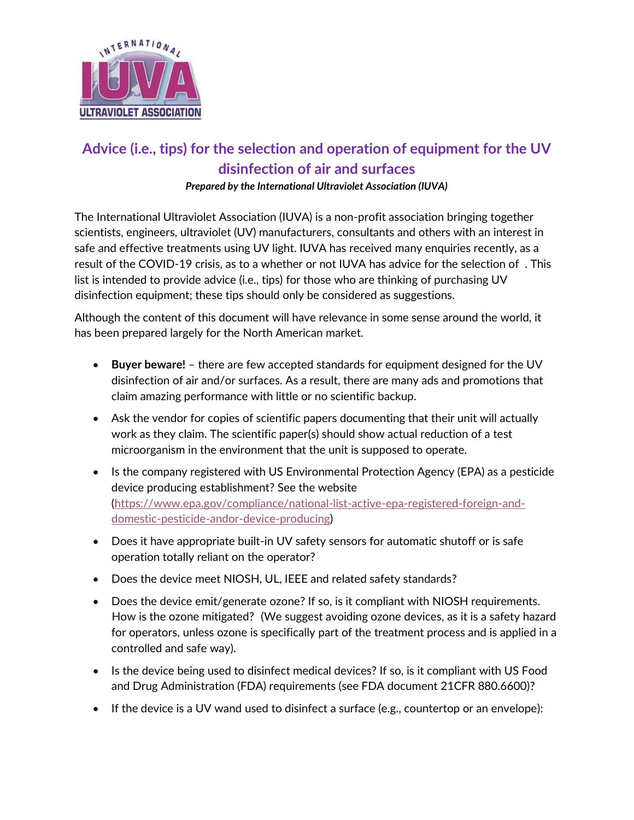

## **Advice (i.e., tips) for the selection and operation of equipment for the UV disinfection of air and surfaces**

## *Prepared by the International Ultraviolet Association (IUVA)*

The International Ultraviolet Association (IUVA) is a non-profit association bringing together scientists, engineers, ultraviolet (UV) manufacturers, consultants and others with an interest in safe and effective treatments using UV light. IUVA has received many enquiries recently, as a result of the COVID-19 crisis, as to a whether or not IUVA has advice for the selection of . This list is intended to provide advice (i.e., tips) for those who are thinking of purchasing UV disinfection equipment; these tips should only be considered as suggestions.

Although the content of this document will have relevance in some sense around the world, it has been prepared largely for the North American market.

- **Buyer beware!** there are few accepted standards for equipment designed for the UV disinfection of air and/or surfaces. As a result, there are many ads and promotions that claim amazing performance with little or no scientific backup.
- Ask the vendor for copies of scientific papers documenting that their unit will actually work as they claim. The scientific paper(s) should show actual reduction of a test microorganism in the environment that the unit is supposed to operate.
- Is the company registered with US Environmental Protection Agency (EPA) as a pesticide device producing establishment? See the website [\(https://www.epa.gov/compliance/national-list-active-epa-registered-foreign-and](https://www.epa.gov/compliance/national-list-active-epa-registered-foreign-and-domestic-pesticide-andor-device-producing)[domestic-pesticide-andor-device-producing\)](https://www.epa.gov/compliance/national-list-active-epa-registered-foreign-and-domestic-pesticide-andor-device-producing)
- Does it have appropriate built-in UV safety sensors for automatic shutoff or is safe operation totally reliant on the operator?
- Does the device meet NIOSH, UL, IEEE and related safety standards?
- Does the device emit/generate ozone? If so, is it compliant with NIOSH requirements. How is the ozone mitigated? (We suggest avoiding ozone devices, as it is a safety hazard for operators, unless ozone is specifically part of the treatment process and is applied in a controlled and safe way).
- Is the device being used to disinfect medical devices? If so, is it compliant with US Food and Drug Administration (FDA) requirements (see FDA document 21CFR 880.6600)?
- If the device is a UV wand used to disinfect a surface (e.g., countertop or an envelope):